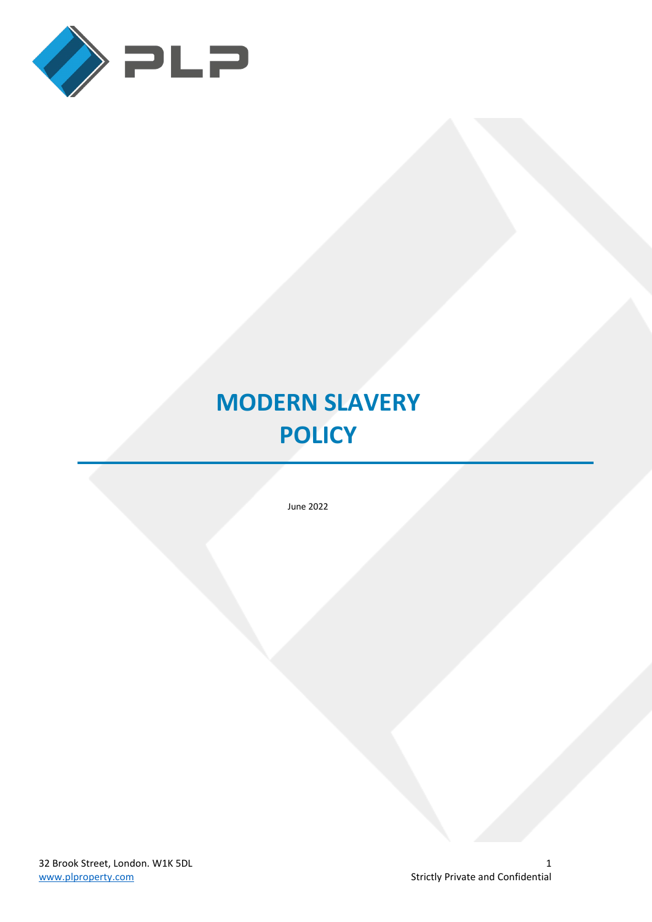

# **MODERN SLAVERY POLICY**

June 2022

32 Brook Street, London. W1K 5DL 1 [www.plproperty.com](http://www.plproperty.com/) extends the strictly Private and Confidential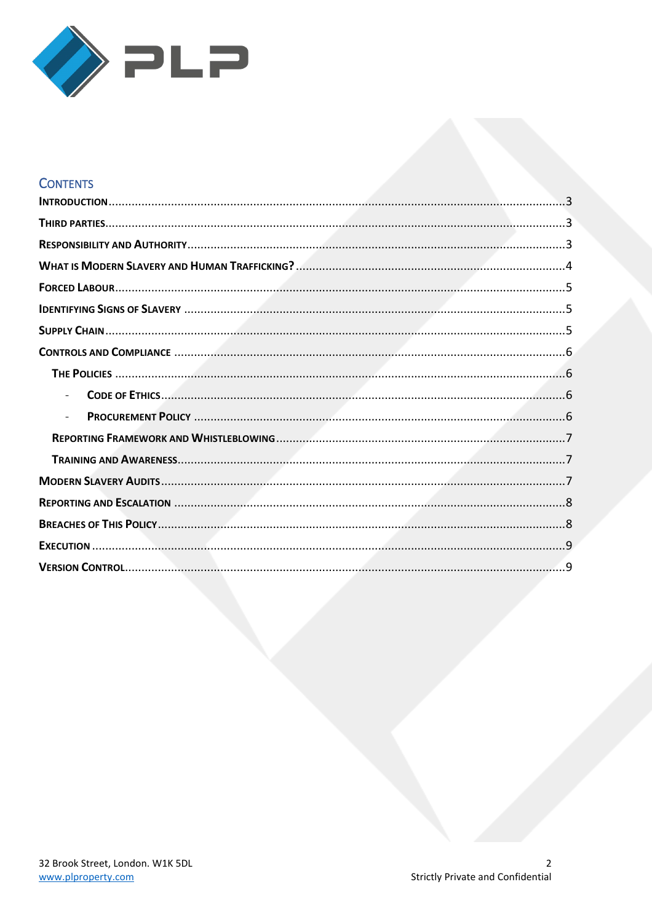

## **CONTENTS**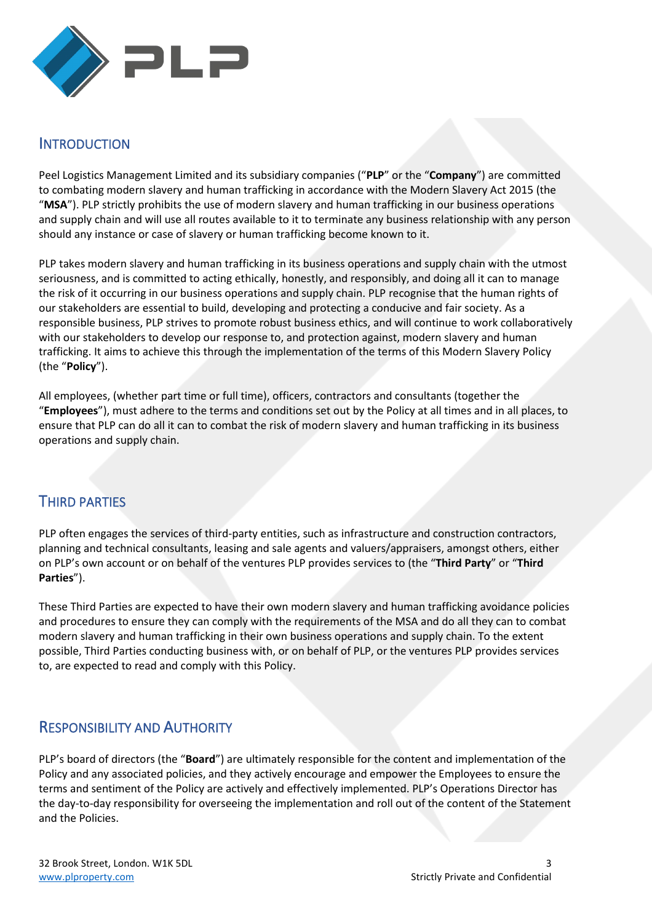

## <span id="page-2-0"></span>**INTRODUCTION**

Peel Logistics Management Limited and its subsidiary companies ("**PLP**" or the "**Company**") are committed to combating modern slavery and human trafficking in accordance with the Modern Slavery Act 2015 (the "**MSA**"). PLP strictly prohibits the use of modern slavery and human trafficking in our business operations and supply chain and will use all routes available to it to terminate any business relationship with any person should any instance or case of slavery or human trafficking become known to it.

PLP takes modern slavery and human trafficking in its business operations and supply chain with the utmost seriousness, and is committed to acting ethically, honestly, and responsibly, and doing all it can to manage the risk of it occurring in our business operations and supply chain. PLP recognise that the human rights of our stakeholders are essential to build, developing and protecting a conducive and fair society. As a responsible business, PLP strives to promote robust business ethics, and will continue to work collaboratively with our stakeholders to develop our response to, and protection against, modern slavery and human trafficking. It aims to achieve this through the implementation of the terms of this Modern Slavery Policy (the "**Policy**").

All employees, (whether part time or full time), officers, contractors and consultants (together the "**Employees**"), must adhere to the terms and conditions set out by the Policy at all times and in all places, to ensure that PLP can do all it can to combat the risk of modern slavery and human trafficking in its business operations and supply chain.

## <span id="page-2-1"></span>THIRD PARTIES

PLP often engages the services of third-party entities, such as infrastructure and construction contractors, planning and technical consultants, leasing and sale agents and valuers/appraisers, amongst others, either on PLP's own account or on behalf of the ventures PLP provides services to (the "**Third Party**" or "**Third Parties**").

These Third Parties are expected to have their own modern slavery and human trafficking avoidance policies and procedures to ensure they can comply with the requirements of the MSA and do all they can to combat modern slavery and human trafficking in their own business operations and supply chain. To the extent possible, Third Parties conducting business with, or on behalf of PLP, or the ventures PLP provides services to, are expected to read and comply with this Policy.

## <span id="page-2-2"></span>RESPONSIBILITY AND AUTHORITY

PLP's board of directors (the "**Board**") are ultimately responsible for the content and implementation of the Policy and any associated policies, and they actively encourage and empower the Employees to ensure the terms and sentiment of the Policy are actively and effectively implemented. PLP's Operations Director has the day-to-day responsibility for overseeing the implementation and roll out of the content of the Statement and the Policies.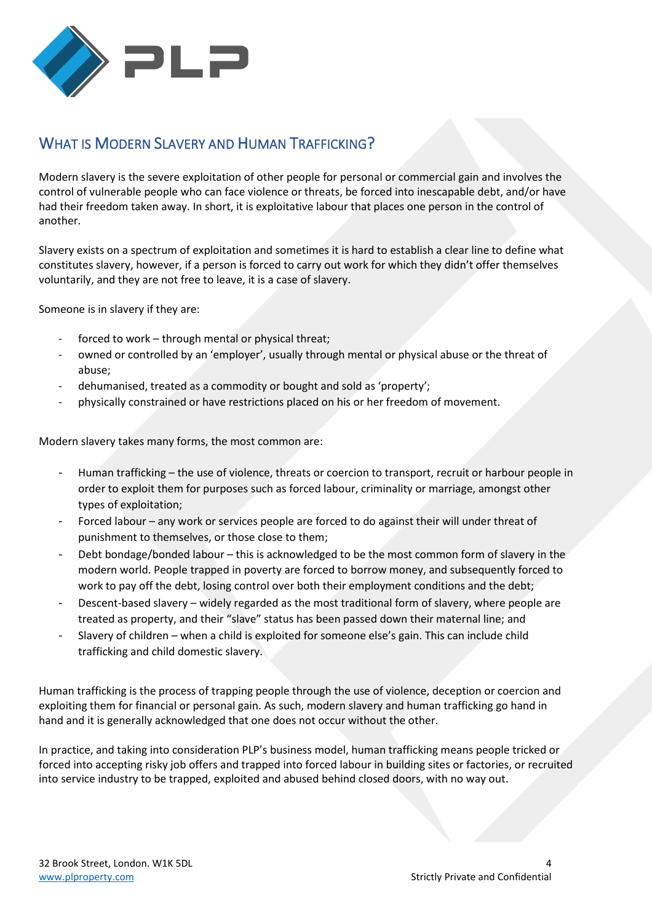

## <span id="page-3-0"></span>WHAT IS MODERN SLAVERY AND HUMAN TRAFFICKING?

Modern slavery is the severe exploitation of other people for personal or commercial gain and involves the control of vulnerable people who can face violence or threats, be forced into inescapable debt, and/or have had their freedom taken away. In short, it is exploitative labour that places one person in the control of another.

Slavery exists on a spectrum of exploitation and sometimes it is hard to establish a clear line to define what constitutes slavery, however, if a person is forced to carry out work for which they didn't offer themselves voluntarily, and they are not free to leave, it is a case of slavery.

Someone is in slavery if they are:

- forced to work through mental or physical threat;
- owned or controlled by an 'employer', usually through mental or physical abuse or the threat of abuse;
- dehumanised, treated as a commodity or bought and sold as 'property';
- physically constrained or have restrictions placed on his or her freedom of movement.

Modern slavery takes many forms, the most common are:

- Human trafficking the use of violence, threats or coercion to transport, recruit or harbour people in order to exploit them for purposes such as forced labour, criminality or marriage, amongst other types of exploitation;
- Forced labour any work or services people are forced to do against their will under threat of punishment to themselves, or those close to them;
- Debt bondage/bonded labour this is acknowledged to be the most common form of slavery in the modern world. People trapped in poverty are forced to borrow money, and subsequently forced to work to pay off the debt, losing control over both their employment conditions and the debt;
- Descent-based slavery widely regarded as the most traditional form of slavery, where people are treated as property, and their "slave" status has been passed down their maternal line; and
- Slavery of children when a child is exploited for someone else's gain. This can include child trafficking and child domestic slavery.

Human trafficking is the process of trapping people through the use of violence, deception or coercion and exploiting them for financial or personal gain. As such, modern slavery and human trafficking go hand in hand and it is generally acknowledged that one does not occur without the other.

In practice, and taking into consideration PLP's business model, human trafficking means people tricked or forced into accepting risky job offers and trapped into forced labour in building sites or factories, or recruited into service industry to be trapped, exploited and abused behind closed doors, with no way out.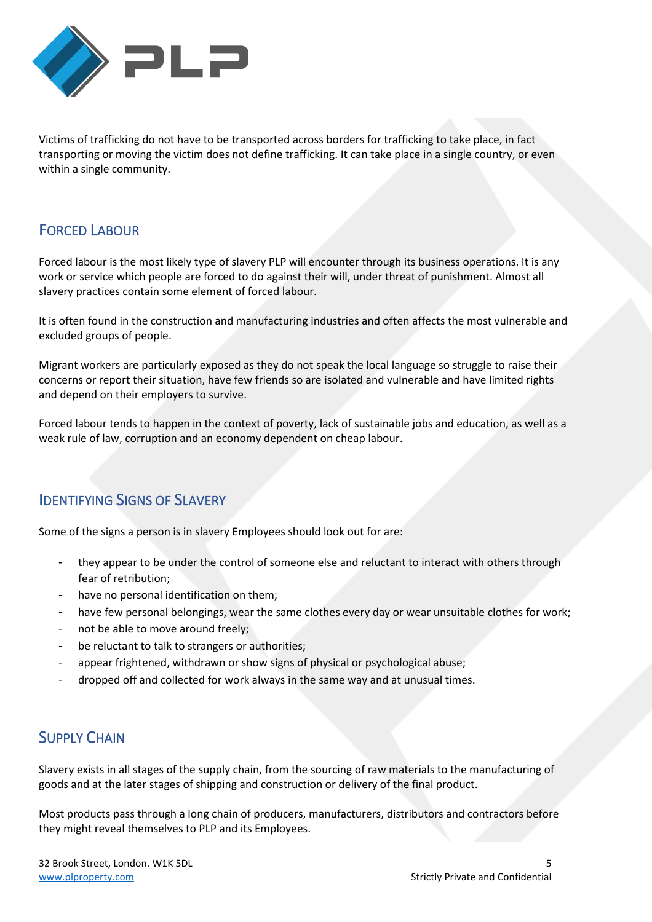

Victims of trafficking do not have to be transported across borders for trafficking to take place, in fact transporting or moving the victim does not define trafficking. It can take place in a single country, or even within a single community.

# <span id="page-4-0"></span>FORCED LABOUR

Forced labour is the most likely type of slavery PLP will encounter through its business operations. It is any work or service which people are forced to do against their will, under threat of punishment. Almost all slavery practices contain some element of forced labour.

It is often found in the construction and manufacturing industries and often affects the most vulnerable and excluded groups of people.

Migrant workers are particularly exposed as they do not speak the local language so struggle to raise their concerns or report their situation, have few friends so are isolated and vulnerable and have limited rights and depend on their employers to survive.

Forced labour tends to happen in the context of poverty, lack of sustainable jobs and education, as well as a weak rule of law, corruption and an economy dependent on cheap labour.

## <span id="page-4-1"></span>IDENTIFYING SIGNS OF SLAVERY

Some of the signs a person is in slavery Employees should look out for are:

- they appear to be under the control of someone else and reluctant to interact with others through fear of retribution;
- have no personal identification on them;
- have few personal belongings, wear the same clothes every day or wear unsuitable clothes for work;
- not be able to move around freely;
- be reluctant to talk to strangers or authorities;
- appear frightened, withdrawn or show signs of physical or psychological abuse;
- dropped off and collected for work always in the same way and at unusual times.

## <span id="page-4-2"></span>**SUPPLY CHAIN**

Slavery exists in all stages of the supply chain, from the sourcing of raw materials to the manufacturing of goods and at the later stages of shipping and construction or delivery of the final product.

Most products pass through a long chain of producers, manufacturers, distributors and contractors before they might reveal themselves to PLP and its Employees.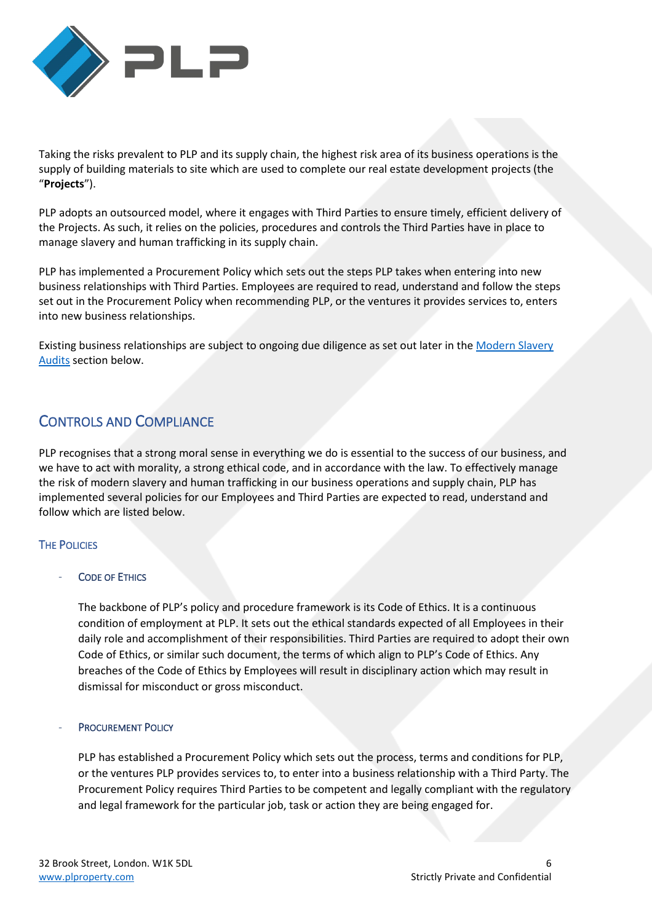

Taking the risks prevalent to PLP and its supply chain, the highest risk area of its business operations is the supply of building materials to site which are used to complete our real estate development projects (the "**Projects**").

PLP adopts an outsourced model, where it engages with Third Parties to ensure timely, efficient delivery of the Projects. As such, it relies on the policies, procedures and controls the Third Parties have in place to manage slavery and human trafficking in its supply chain.

PLP has implemented a Procurement Policy which sets out the steps PLP takes when entering into new business relationships with Third Parties. Employees are required to read, understand and follow the steps set out in the Procurement Policy when recommending PLP, or the ventures it provides services to, enters into new business relationships.

Existing business relationships are subject to ongoing due diligence as set out later in the [Modern Slavery](#page-5-0)  [Audits](#page-5-0) section below.

## <span id="page-5-0"></span>CONTROLS AND COMPLIANCE

PLP recognises that a strong moral sense in everything we do is essential to the success of our business, and we have to act with morality, a strong ethical code, and in accordance with the law. To effectively manage the risk of modern slavery and human trafficking in our business operations and supply chain, PLP has implemented several policies for our Employees and Third Parties are expected to read, understand and follow which are listed below.

## <span id="page-5-1"></span>**THE POLICIES**

## <span id="page-5-2"></span>CODE OF ETHICS

The backbone of PLP's policy and procedure framework is its Code of Ethics. It is a continuous condition of employment at PLP. It sets out the ethical standards expected of all Employees in their daily role and accomplishment of their responsibilities. Third Parties are required to adopt their own Code of Ethics, or similar such document, the terms of which align to PLP's Code of Ethics. Any breaches of the Code of Ethics by Employees will result in disciplinary action which may result in dismissal for misconduct or gross misconduct.

#### <span id="page-5-3"></span>PROCUREMENT POLICY

PLP has established a Procurement Policy which sets out the process, terms and conditions for PLP, or the ventures PLP provides services to, to enter into a business relationship with a Third Party. The Procurement Policy requires Third Parties to be competent and legally compliant with the regulatory and legal framework for the particular job, task or action they are being engaged for.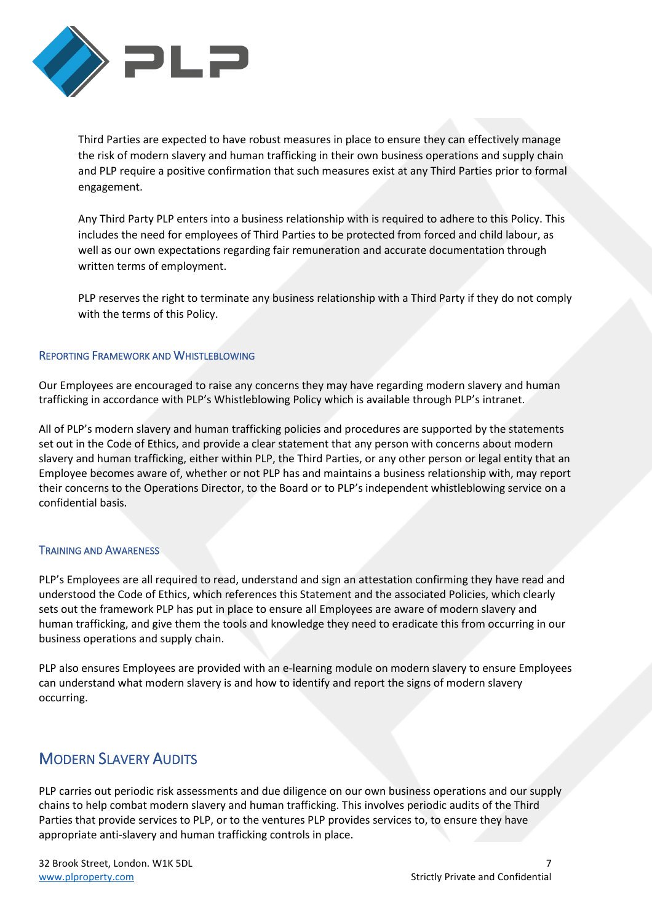

Third Parties are expected to have robust measures in place to ensure they can effectively manage the risk of modern slavery and human trafficking in their own business operations and supply chain and PLP require a positive confirmation that such measures exist at any Third Parties prior to formal engagement.

Any Third Party PLP enters into a business relationship with is required to adhere to this Policy. This includes the need for employees of Third Parties to be protected from forced and child labour, as well as our own expectations regarding fair remuneration and accurate documentation through written terms of employment.

PLP reserves the right to terminate any business relationship with a Third Party if they do not comply with the terms of this Policy.

#### <span id="page-6-0"></span>REPORTING FRAMEWORK AND WHISTLEBLOWING

Our Employees are encouraged to raise any concerns they may have regarding modern slavery and human trafficking in accordance with PLP's Whistleblowing Policy which is available through PLP's intranet.

All of PLP's modern slavery and human trafficking policies and procedures are supported by the statements set out in the Code of Ethics, and provide a clear statement that any person with concerns about modern slavery and human trafficking, either within PLP, the Third Parties, or any other person or legal entity that an Employee becomes aware of, whether or not PLP has and maintains a business relationship with, may report their concerns to the Operations Director, to the Board or to PLP's independent whistleblowing service on a confidential basis.

## <span id="page-6-1"></span>TRAINING AND AWARENESS

PLP's Employees are all required to read, understand and sign an attestation confirming they have read and understood the Code of Ethics, which references this Statement and the associated Policies, which clearly sets out the framework PLP has put in place to ensure all Employees are aware of modern slavery and human trafficking, and give them the tools and knowledge they need to eradicate this from occurring in our business operations and supply chain.

PLP also ensures Employees are provided with an e-learning module on modern slavery to ensure Employees can understand what modern slavery is and how to identify and report the signs of modern slavery occurring.

## <span id="page-6-2"></span>MODERN SLAVERY AUDITS

PLP carries out periodic risk assessments and due diligence on our own business operations and our supply chains to help combat modern slavery and human trafficking. This involves periodic audits of the Third Parties that provide services to PLP, or to the ventures PLP provides services to, to ensure they have appropriate anti-slavery and human trafficking controls in place.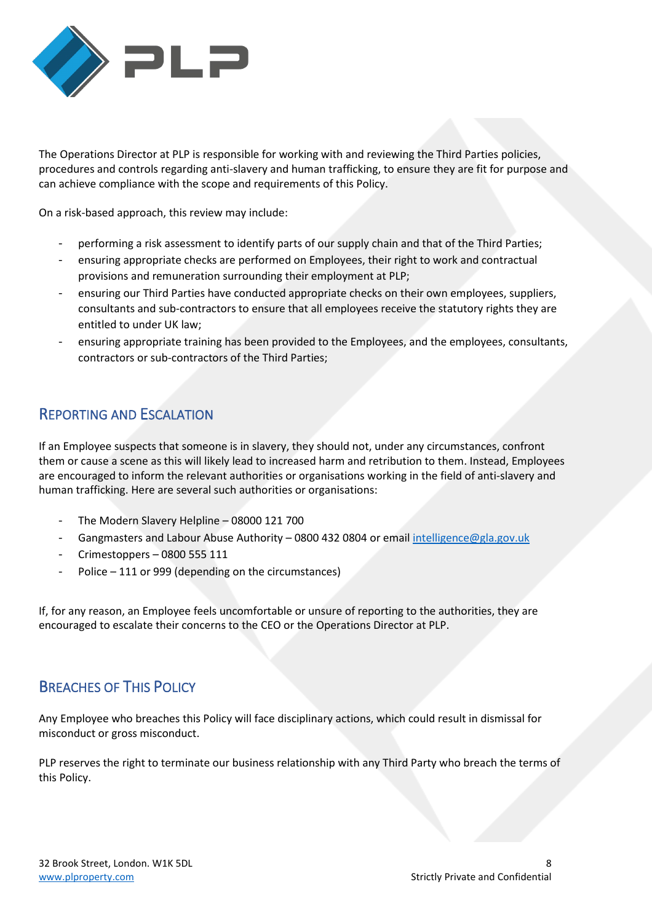

The Operations Director at PLP is responsible for working with and reviewing the Third Parties policies, procedures and controls regarding anti-slavery and human trafficking, to ensure they are fit for purpose and can achieve compliance with the scope and requirements of this Policy.

On a risk-based approach, this review may include:

- performing a risk assessment to identify parts of our supply chain and that of the Third Parties;
- ensuring appropriate checks are performed on Employees, their right to work and contractual provisions and remuneration surrounding their employment at PLP;
- ensuring our Third Parties have conducted appropriate checks on their own employees, suppliers, consultants and sub-contractors to ensure that all employees receive the statutory rights they are entitled to under UK law;
- ensuring appropriate training has been provided to the Employees, and the employees, consultants, contractors or sub-contractors of the Third Parties;

## <span id="page-7-0"></span>REPORTING AND ESCALATION

If an Employee suspects that someone is in slavery, they should not, under any circumstances, confront them or cause a scene as this will likely lead to increased harm and retribution to them. Instead, Employees are encouraged to inform the relevant authorities or organisations working in the field of anti-slavery and human trafficking. Here are several such authorities or organisations:

- The Modern Slavery Helpline 08000 121 700
- Gangmasters and Labour Abuse Authority 0800 432 0804 or emai[l intelligence@gla.gov.uk](mailto:intelligence@gla.gov.uk)
- Crimestoppers 0800 555 111
- Police 111 or 999 (depending on the circumstances)

If, for any reason, an Employee feels uncomfortable or unsure of reporting to the authorities, they are encouraged to escalate their concerns to the CEO or the Operations Director at PLP.

## <span id="page-7-1"></span>BREACHES OF THIS POLICY

Any Employee who breaches this Policy will face disciplinary actions, which could result in dismissal for misconduct or gross misconduct.

PLP reserves the right to terminate our business relationship with any Third Party who breach the terms of this Policy.